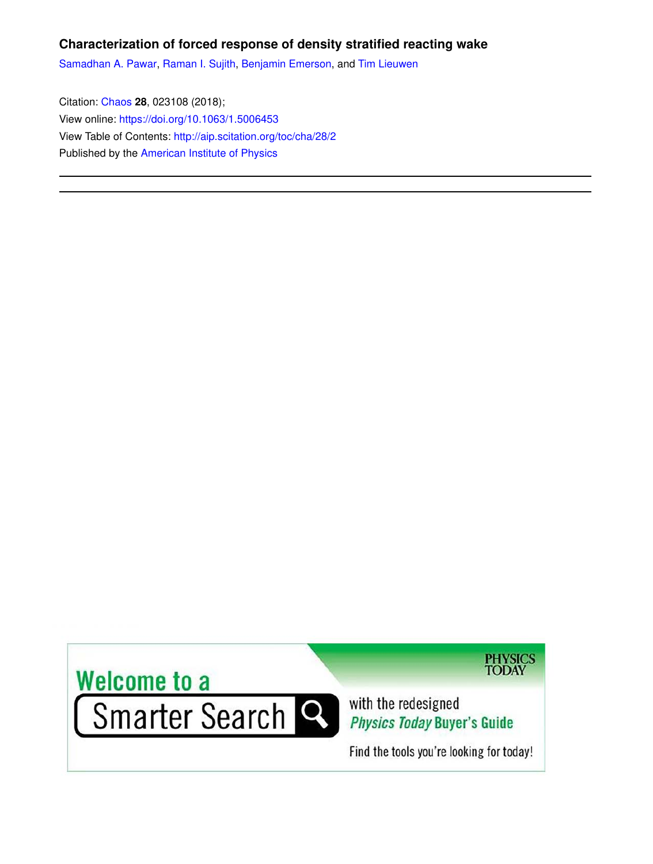# **Characterization of forced response of density stratified reacting wake**

Samadhan A. Pawar, Raman I. Sujith, Benjamin Emerson, and Tim Lieuwen

Citation: Chaos **28**, 023108 (2018); View online: https://doi.org/10.1063/1.5006453 View Table of Contents: http://aip.scitation.org/toc/cha/28/2 Published by the American Institute of Physics



**PHYSICS**<br>TODAY

with the redesigned Physics Today Buyer's Guide

Find the tools you're looking for today!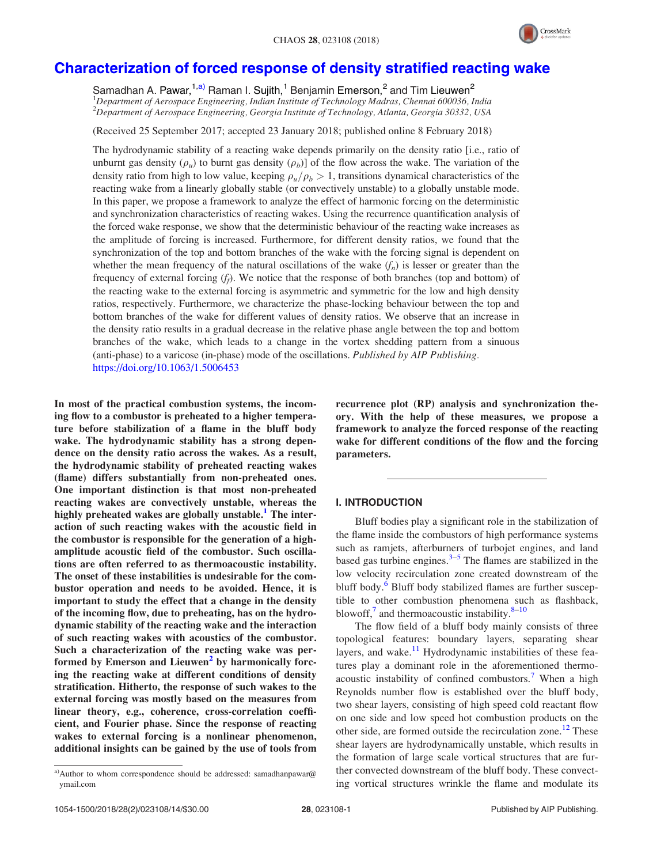

# Characterization of forced response of density stratified reacting wake

Samadhan A. Pawar,<sup>1,a)</sup> Raman I. Sujith,<sup>1</sup> Benjamin Emerson,<sup>2</sup> and Tim Lieuwen<sup>2</sup> <sup>1</sup>*Department of Aerospace Engineering, Indian Institute of Technology Madras, Chennai 600036, India* <sup>2</sup>*Department of Aerospace Engineering, Georgia Institute of Technology, Atlanta, Georgia 30332, USA*

(Received 25 September 2017; accepted 23 January 2018; published online 8 February 2018)

The hydrodynamic stability of a reacting wake depends primarily on the density ratio [i.e., ratio of unburnt gas density  $(\rho_\mu)$  to burnt gas density  $(\rho_b)$ ] of the flow across the wake. The variation of the density ratio from high to low value, keeping  $\rho_{\mu}/\rho_{b} > 1$ , transitions dynamical characteristics of the reacting wake from a linearly globally stable (or convectively unstable) to a globally unstable mode. In this paper, we propose a framework to analyze the effect of harmonic forcing on the deterministic and synchronization characteristics of reacting wakes. Using the recurrence quantification analysis of the forced wake response, we show that the deterministic behaviour of the reacting wake increases as the amplitude of forcing is increased. Furthermore, for different density ratios, we found that the synchronization of the top and bottom branches of the wake with the forcing signal is dependent on whether the mean frequency of the natural oscillations of the wake  $(f_n)$  is lesser or greater than the frequency of external forcing (*f<sup>f</sup>* ). We notice that the response of both branches (top and bottom) of the reacting wake to the external forcing is asymmetric and symmetric for the low and high density ratios, respectively. Furthermore, we characterize the phase-locking behaviour between the top and bottom branches of the wake for different values of density ratios. We observe that an increase in the density ratio results in a gradual decrease in the relative phase angle between the top and bottom branches of the wake, which leads to a change in the vortex shedding pattern from a sinuous (anti-phase) to a varicose (in-phase) mode of the oscillations. *Published by AIP Publishing.* https://doi.org/10.1063/1.5006453

In most of the practical combustion systems, the incoming flow to a combustor is preheated to a higher temperature before stabilization of a flame in the bluff body wake. The hydrodynamic stability has a strong dependence on the density ratio across the wakes. As a result, the hydrodynamic stability of preheated reacting wakes (flame) differs substantially from non-preheated ones. One important distinction is that most non-preheated reacting wakes are convectively unstable, whereas the highly preheated wakes are globally unstable.<sup>1</sup> The interaction of such reacting wakes with the acoustic field in the combustor is responsible for the generation of a highamplitude acoustic field of the combustor. Such oscillations are often referred to as thermoacoustic instability. The onset of these instabilities is undesirable for the combustor operation and needs to be avoided. Hence, it is important to study the effect that a change in the density of the incoming flow, due to preheating, has on the hydrodynamic stability of the reacting wake and the interaction of such reacting wakes with acoustics of the combustor. Such a characterization of the reacting wake was performed by Emerson and Lieuwen<sup>2</sup> by harmonically forcing the reacting wake at different conditions of density stratification. Hitherto, the response of such wakes to the external forcing was mostly based on the measures from linear theory, e.g., coherence, cross-correlation coefficient, and Fourier phase. Since the response of reacting wakes to external forcing is a nonlinear phenomenon, additional insights can be gained by the use of tools from

a)Author to whom correspondence should be addressed: samadhanpawar@ ymail.com

recurrence plot (RP) analysis and synchronization theory. With the help of these measures, we propose a framework to analyze the forced response of the reacting wake for different conditions of the flow and the forcing parameters.

## I. INTRODUCTION

Bluff bodies play a significant role in the stabilization of the flame inside the combustors of high performance systems such as ramjets, afterburners of turbojet engines, and land based gas turbine engines. $3-5$  The flames are stabilized in the low velocity recirculation zone created downstream of the bluff body.<sup>6</sup> Bluff body stabilized flames are further susceptible to other combustion phenomena such as flashback, blowoff, $\frac{7}{1}$  and thermoacoustic instability.  $8-10$ 

The flow field of a bluff body mainly consists of three topological features: boundary layers, separating shear layers, and wake. $\frac{11}{11}$  Hydrodynamic instabilities of these features play a dominant role in the aforementioned thermoacoustic instability of confined combustors.<sup>7</sup> When a high Reynolds number flow is established over the bluff body, two shear layers, consisting of high speed cold reactant flow on one side and low speed hot combustion products on the other side, are formed outside the recirculation zone.<sup>12</sup> These shear layers are hydrodynamically unstable, which results in the formation of large scale vortical structures that are further convected downstream of the bluff body. These convecting vortical structures wrinkle the flame and modulate its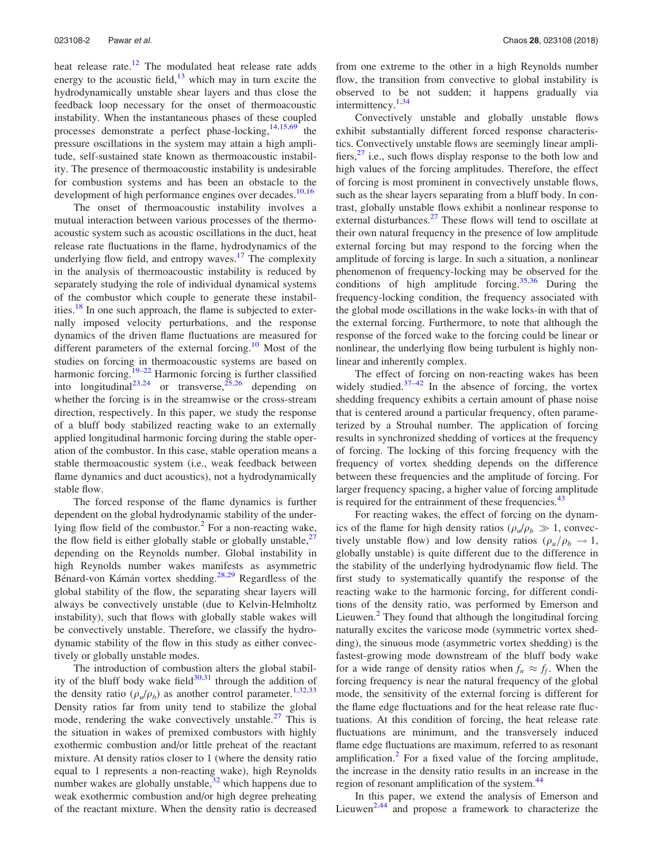heat release rate.<sup>12</sup> The modulated heat release rate adds energy to the acoustic field, $13$  which may in turn excite the hydrodynamically unstable shear layers and thus close the feedback loop necessary for the onset of thermoacoustic instability. When the instantaneous phases of these coupled processes demonstrate a perfect phase-locking,  $14,15,69$  the pressure oscillations in the system may attain a high amplitude, self-sustained state known as thermoacoustic instability. The presence of thermoacoustic instability is undesirable for combustion systems and has been an obstacle to the development of high performance engines over decades.<sup>10,16</sup>

The onset of thermoacoustic instability involves a mutual interaction between various processes of the thermoacoustic system such as acoustic oscillations in the duct, heat release rate fluctuations in the flame, hydrodynamics of the underlying flow field, and entropy waves.<sup>17</sup> The complexity in the analysis of thermoacoustic instability is reduced by separately studying the role of individual dynamical systems of the combustor which couple to generate these instabilities.<sup>18</sup> In one such approach, the flame is subjected to externally imposed velocity perturbations, and the response dynamics of the driven flame fluctuations are measured for different parameters of the external forcing.<sup>10</sup> Most of the studies on forcing in thermoacoustic systems are based on harmonic forcing.<sup>19–22</sup> Harmonic forcing is further classified into longitudinal<sup>23,24</sup> or transverse,<sup>25,26</sup> depending on whether the forcing is in the streamwise or the cross-stream direction, respectively. In this paper, we study the response of a bluff body stabilized reacting wake to an externally applied longitudinal harmonic forcing during the stable operation of the combustor. In this case, stable operation means a stable thermoacoustic system (i.e., weak feedback between flame dynamics and duct acoustics), not a hydrodynamically stable flow.

The forced response of the flame dynamics is further dependent on the global hydrodynamic stability of the underlying flow field of the combustor.<sup>2</sup> For a non-reacting wake, the flow field is either globally stable or globally unstable, $\frac{2}{3}$ depending on the Reynolds number. Global instability in high Reynolds number wakes manifests as asymmetric Bénard-von Kámán vortex shedding.<sup>28,29</sup> Regardless of the global stability of the flow, the separating shear layers will always be convectively unstable (due to Kelvin-Helmholtz instability), such that flows with globally stable wakes will be convectively unstable. Therefore, we classify the hydrodynamic stability of the flow in this study as either convectively or globally unstable modes.

The introduction of combustion alters the global stability of the bluff body wake field $30,31$  through the addition of the density ratio ( $\rho_u/\rho_b$ ) as another control parameter.<sup>1,32,33</sup> Density ratios far from unity tend to stabilize the global mode, rendering the wake convectively unstable.<sup>27</sup> This is the situation in wakes of premixed combustors with highly exothermic combustion and/or little preheat of the reactant mixture. At density ratios closer to 1 (where the density ratio equal to 1 represents a non-reacting wake), high Reynolds number wakes are globally unstable,  $32$  which happens due to weak exothermic combustion and/or high degree preheating of the reactant mixture. When the density ratio is decreased from one extreme to the other in a high Reynolds number flow, the transition from convective to global instability is observed to be not sudden; it happens gradually via intermittency.<sup>1,34</sup>

Convectively unstable and globally unstable flows exhibit substantially different forced response characteristics. Convectively unstable flows are seemingly linear amplifiers, $^{27}$  i.e., such flows display response to the both low and high values of the forcing amplitudes. Therefore, the effect of forcing is most prominent in convectively unstable flows, such as the shear layers separating from a bluff body. In contrast, globally unstable flows exhibit a nonlinear response to external disturbances.<sup>27</sup> These flows will tend to oscillate at their own natural frequency in the presence of low amplitude external forcing but may respond to the forcing when the amplitude of forcing is large. In such a situation, a nonlinear phenomenon of frequency-locking may be observed for the conditions of high amplitude forcing.<sup>35,36</sup> During the frequency-locking condition, the frequency associated with the global mode oscillations in the wake locks-in with that of the external forcing. Furthermore, to note that although the response of the forced wake to the forcing could be linear or nonlinear, the underlying flow being turbulent is highly nonlinear and inherently complex.

The effect of forcing on non-reacting wakes has been widely studied. $37-42$  In the absence of forcing, the vortex shedding frequency exhibits a certain amount of phase noise that is centered around a particular frequency, often parameterized by a Strouhal number. The application of forcing results in synchronized shedding of vortices at the frequency of forcing. The locking of this forcing frequency with the frequency of vortex shedding depends on the difference between these frequencies and the amplitude of forcing. For larger frequency spacing, a higher value of forcing amplitude is required for the entrainment of these frequencies. $43$ 

For reacting wakes, the effect of forcing on the dynamics of the flame for high density ratios ( $\rho_u/\rho_b \gg 1$ , convectively unstable flow) and low density ratios  $(\rho_{\mu}/\rho_{\mu} \rightarrow 1,$ globally unstable) is quite different due to the difference in the stability of the underlying hydrodynamic flow field. The first study to systematically quantify the response of the reacting wake to the harmonic forcing, for different conditions of the density ratio, was performed by Emerson and Lieuwen.<sup>2</sup> They found that although the longitudinal forcing naturally excites the varicose mode (symmetric vortex shedding), the sinuous mode (asymmetric vortex shedding) is the fastest-growing mode downstream of the bluff body wake for a wide range of density ratios when  $f_n \approx f_f$ . When the forcing frequency is near the natural frequency of the global mode, the sensitivity of the external forcing is different for the flame edge fluctuations and for the heat release rate fluctuations. At this condition of forcing, the heat release rate fluctuations are minimum, and the transversely induced flame edge fluctuations are maximum, referred to as resonant amplification.<sup>2</sup> For a fixed value of the forcing amplitude, the increase in the density ratio results in an increase in the region of resonant amplification of the system.<sup>44</sup>

In this paper, we extend the analysis of Emerson and Lieuwen<sup>2,44</sup> and propose a framework to characterize the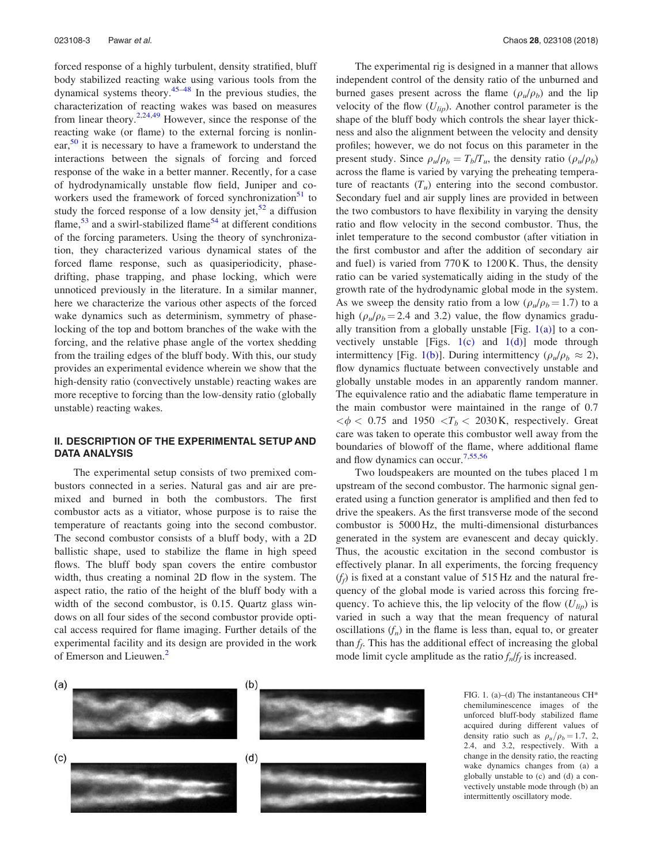forced response of a highly turbulent, density stratified, bluff body stabilized reacting wake using various tools from the dynamical systems theory. $45-48$  In the previous studies, the characterization of reacting wakes was based on measures from linear theory.<sup>2,24,49</sup> However, since the response of the reacting wake (or flame) to the external forcing is nonlinear,  $50$  it is necessary to have a framework to understand the interactions between the signals of forcing and forced response of the wake in a better manner. Recently, for a case of hydrodynamically unstable flow field, Juniper and coworkers used the framework of forced synchronization $51$  to study the forced response of a low density jet,  $52$  a diffusion flame,  $53$  and a swirl-stabilized flame<sup>54</sup> at different conditions of the forcing parameters. Using the theory of synchronization, they characterized various dynamical states of the forced flame response, such as quasiperiodicity, phasedrifting, phase trapping, and phase locking, which were unnoticed previously in the literature. In a similar manner, here we characterize the various other aspects of the forced wake dynamics such as determinism, symmetry of phaselocking of the top and bottom branches of the wake with the forcing, and the relative phase angle of the vortex shedding from the trailing edges of the bluff body. With this, our study provides an experimental evidence wherein we show that the high-density ratio (convectively unstable) reacting wakes are more receptive to forcing than the low-density ratio (globally unstable) reacting wakes.

## II. DESCRIPTION OF THE EXPERIMENTAL SETUP AND DATA ANALYSIS

The experimental setup consists of two premixed combustors connected in a series. Natural gas and air are premixed and burned in both the combustors. The first combustor acts as a vitiator, whose purpose is to raise the temperature of reactants going into the second combustor. The second combustor consists of a bluff body, with a 2D ballistic shape, used to stabilize the flame in high speed flows. The bluff body span covers the entire combustor width, thus creating a nominal 2D flow in the system. The aspect ratio, the ratio of the height of the bluff body with a width of the second combustor, is 0.15. Quartz glass windows on all four sides of the second combustor provide optical access required for flame imaging. Further details of the experimental facility and its design are provided in the work of Emerson and Lieuwen.<sup>2</sup>

The experimental rig is designed in a manner that allows independent control of the density ratio of the unburned and burned gases present across the flame  $(\rho_u/\rho_b)$  and the lip velocity of the flow (*Ulip*). Another control parameter is the shape of the bluff body which controls the shear layer thickness and also the alignment between the velocity and density profiles; however, we do not focus on this parameter in the present study. Since  $\rho_u/\rho_b = T_b/T_u$ , the density ratio ( $\rho_u/\rho_b$ ) across the flame is varied by varying the preheating temperature of reactants  $(T_u)$  entering into the second combustor. Secondary fuel and air supply lines are provided in between the two combustors to have flexibility in varying the density ratio and flow velocity in the second combustor. Thus, the inlet temperature to the second combustor (after vitiation in the first combustor and after the addition of secondary air and fuel) is varied from 770 K to 1200 K. Thus, the density ratio can be varied systematically aiding in the study of the growth rate of the hydrodynamic global mode in the system. As we sweep the density ratio from a low ( $\rho_u/\rho_b = 1.7$ ) to a high  $(\rho_u/\rho_b = 2.4$  and 3.2) value, the flow dynamics gradually transition from a globally unstable [Fig.  $1(a)$ ] to a convectively unstable [Figs.  $1(c)$  and  $1(d)$ ] mode through intermittency [Fig. 1(b)]. During intermittency ( $\rho_u/\rho_b \approx 2$ ), flow dynamics fluctuate between convectively unstable and globally unstable modes in an apparently random manner. The equivalence ratio and the adiabatic flame temperature in the main combustor were maintained in the range of 0.7  $\langle \phi \rangle$  < 0.75 and 1950  $\langle T_b \rangle$  2030 K, respectively. Great care was taken to operate this combustor well away from the boundaries of blowoff of the flame, where additional flame and flow dynamics can occur.7,55,56

Two loudspeakers are mounted on the tubes placed 1 m upstream of the second combustor. The harmonic signal generated using a function generator is amplified and then fed to drive the speakers. As the first transverse mode of the second combustor is 5000 Hz, the multi-dimensional disturbances generated in the system are evanescent and decay quickly. Thus, the acoustic excitation in the second combustor is effectively planar. In all experiments, the forcing frequency  $(f_f)$  is fixed at a constant value of 515 Hz and the natural frequency of the global mode is varied across this forcing frequency. To achieve this, the lip velocity of the flow  $(U_{lip})$  is varied in such a way that the mean frequency of natural oscillations  $(f_n)$  in the flame is less than, equal to, or greater than  $f_f$ . This has the additional effect of increasing the global mode limit cycle amplitude as the ratio *f<sup>n</sup>* /*ff* is increased.



FIG. 1. (a)–(d) The instantaneous CH\* chemiluminescence images of the unforced bluff-body stabilized flame acquired during different values of density ratio such as  $\rho_u/\rho_b = 1.7, 2$ , 2.4, and 3.2, respectively. With a change in the density ratio, the reacting wake dynamics changes from (a) a globally unstable to (c) and (d) a convectively unstable mode through (b) an intermittently oscillatory mode.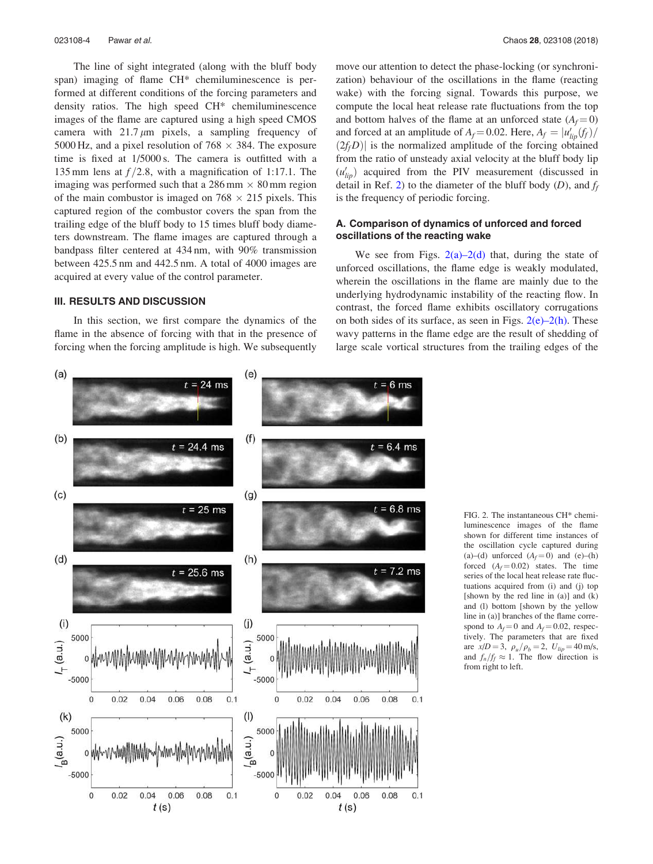The line of sight integrated (along with the bluff body span) imaging of flame CH\* chemiluminescence is performed at different conditions of the forcing parameters and density ratios. The high speed CH\* chemiluminescence images of the flame are captured using a high speed CMOS camera with  $21.7 \mu m$  pixels, a sampling frequency of 5000 Hz, and a pixel resolution of  $768 \times 384$ . The exposure time is fixed at 1/5000 s. The camera is outfitted with a 135 mm lens at  $f/2.8$ , with a magnification of 1:17.1. The imaging was performed such that a  $286 \text{ mm} \times 80 \text{ mm}$  region of the main combustor is imaged on  $768 \times 215$  pixels. This captured region of the combustor covers the span from the trailing edge of the bluff body to 15 times bluff body diameters downstream. The flame images are captured through a bandpass filter centered at 434 nm, with 90% transmission between 425.5 nm and 442.5 nm. A total of 4000 images are acquired at every value of the control parameter.

#### III. RESULTS AND DISCUSSION

In this section, we first compare the dynamics of the flame in the absence of forcing with that in the presence of forcing when the forcing amplitude is high. We subsequently move our attention to detect the phase-locking (or synchronization) behaviour of the oscillations in the flame (reacting wake) with the forcing signal. Towards this purpose, we compute the local heat release rate fluctuations from the top and bottom halves of the flame at an unforced state  $(A_f = 0)$ and forced at an amplitude of  $A_f = 0.02$ . Here,  $A_f = |u'_{lip}(f_f)|$  $(2f_fD)$  is the normalized amplitude of the forcing obtained from the ratio of unsteady axial velocity at the bluff body lip  $(u'_{lip})$  acquired from the PIV measurement (discussed in detail in Ref. 2) to the diameter of the bluff body (*D*), and *f<sup>f</sup>* is the frequency of periodic forcing.

## A. Comparison of dynamics of unforced and forced oscillations of the reacting wake

We see from Figs.  $2(a)-2(d)$  that, during the state of unforced oscillations, the flame edge is weakly modulated, wherein the oscillations in the flame are mainly due to the underlying hydrodynamic instability of the reacting flow. In contrast, the forced flame exhibits oscillatory corrugations on both sides of its surface, as seen in Figs.  $2(e)-2(h)$ . These wavy patterns in the flame edge are the result of shedding of large scale vortical structures from the trailing edges of the



FIG. 2. The instantaneous CH\* chemiluminescence images of the flame shown for different time instances of the oscillation cycle captured during (a)–(d) unforced  $(A_f = 0)$  and (e)–(h) forced  $(A_f = 0.02)$  states. The time series of the local heat release rate fluctuations acquired from (i) and (j) top [shown by the red line in (a)] and (k) and (l) bottom [shown by the yellow line in (a)] branches of the flame correspond to  $A_f = 0$  and  $A_f = 0.02$ , respectively. The parameters that are fixed are  $x/D = 3$ ,  $\rho_u / \rho_b = 2$ ,  $U_{lip} = 40$  m/s, and  $f_n/f_f \approx 1$ . The flow direction is from right to left.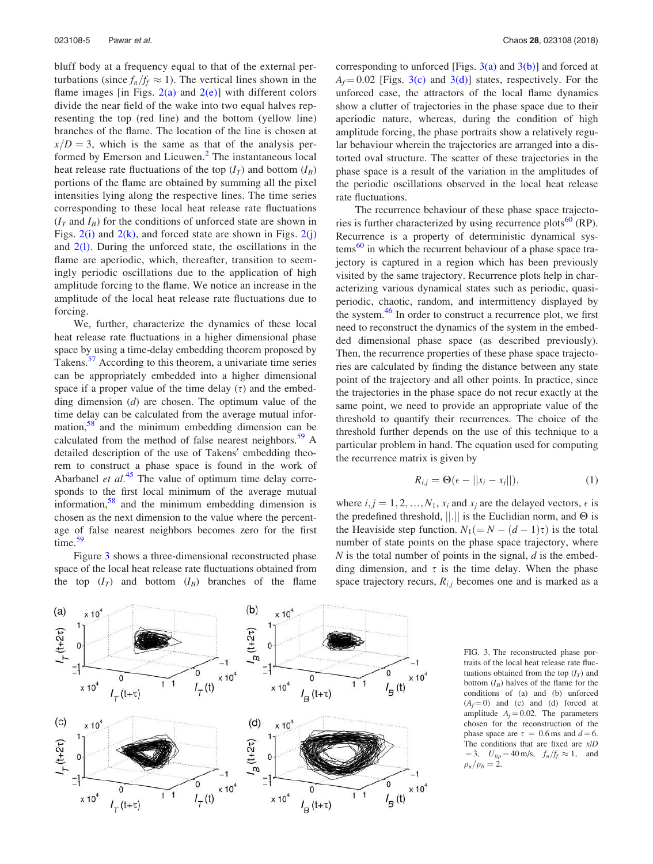bluff body at a frequency equal to that of the external perturbations (since  $f_n/f_f \approx 1$ ). The vertical lines shown in the flame images [in Figs.  $2(a)$  and  $2(e)$ ] with different colors divide the near field of the wake into two equal halves representing the top (red line) and the bottom (yellow line) branches of the flame. The location of the line is chosen at  $x/D = 3$ , which is the same as that of the analysis performed by Emerson and Lieuwen.<sup>2</sup> The instantaneous local heat release rate fluctuations of the top  $(I_T)$  and bottom  $(I_B)$ portions of the flame are obtained by summing all the pixel intensities lying along the respective lines. The time series corresponding to these local heat release rate fluctuations  $(I_T \text{ and } I_B)$  for the conditions of unforced state are shown in Figs.  $2(i)$  and  $2(k)$ , and forced state are shown in Figs.  $2(j)$ and  $2(1)$ . During the unforced state, the oscillations in the flame are aperiodic, which, thereafter, transition to seemingly periodic oscillations due to the application of high amplitude forcing to the flame. We notice an increase in the amplitude of the local heat release rate fluctuations due to forcing.

We, further, characterize the dynamics of these local heat release rate fluctuations in a higher dimensional phase space by using a time-delay embedding theorem proposed by Takens.<sup>57</sup> According to this theorem, a univariate time series can be appropriately embedded into a higher dimensional space if a proper value of the time delay  $(\tau)$  and the embedding dimension (*d*) are chosen. The optimum value of the time delay can be calculated from the average mutual information, $58$  and the minimum embedding dimension can be calculated from the method of false nearest neighbors.<sup>59</sup> A detailed description of the use of Takens' embedding theorem to construct a phase space is found in the work of Abarbanel *et al.*<sup>45</sup> The value of optimum time delay corresponds to the first local minimum of the average mutual information, $58$  and the minimum embedding dimension is chosen as the next dimension to the value where the percentage of false nearest neighbors becomes zero for the first time.<sup>59</sup>

Figure 3 shows a three-dimensional reconstructed phase space of the local heat release rate fluctuations obtained from the top  $(I_T)$  and bottom  $(I_B)$  branches of the flame corresponding to unforced [Figs.  $3(a)$  and  $3(b)$ ] and forced at  $A_f = 0.02$  [Figs. 3(c) and 3(d)] states, respectively. For the unforced case, the attractors of the local flame dynamics show a clutter of trajectories in the phase space due to their aperiodic nature, whereas, during the condition of high amplitude forcing, the phase portraits show a relatively regular behaviour wherein the trajectories are arranged into a distorted oval structure. The scatter of these trajectories in the phase space is a result of the variation in the amplitudes of the periodic oscillations observed in the local heat release rate fluctuations.

The recurrence behaviour of these phase space trajectories is further characterized by using recurrence plots $^{60}$  (RP). Recurrence is a property of deterministic dynamical sys $t_{\rm em}$ <sup>60</sup> in which the recurrent behaviour of a phase space trajectory is captured in a region which has been previously visited by the same trajectory. Recurrence plots help in characterizing various dynamical states such as periodic, quasiperiodic, chaotic, random, and intermittency displayed by the system.<sup>46</sup> In order to construct a recurrence plot, we first need to reconstruct the dynamics of the system in the embedded dimensional phase space (as described previously). Then, the recurrence properties of these phase space trajectories are calculated by finding the distance between any state point of the trajectory and all other points. In practice, since the trajectories in the phase space do not recur exactly at the same point, we need to provide an appropriate value of the threshold to quantify their recurrences. The choice of the threshold further depends on the use of this technique to a particular problem in hand. The equation used for computing the recurrence matrix is given by

$$
R_{i,j} = \Theta(\epsilon - ||x_i - x_j||), \qquad (1)
$$

where  $i, j = 1, 2, ..., N_1, x_i$  and  $x_j$  are the delayed vectors,  $\epsilon$  is the predefined threshold,  $||.||$  is the Euclidian norm, and  $\Theta$  is the Heaviside step function.  $N_1(=N-(d-1)\tau)$  is the total number of state points on the phase space trajectory, where *N* is the total number of points in the signal, *d* is the embedding dimension, and  $\tau$  is the time delay. When the phase space trajectory recurs,  $R_{i,j}$  becomes one and is marked as a



FIG. 3. The reconstructed phase portraits of the local heat release rate fluctuations obtained from the top  $(I_T)$  and bottom  $(I_B)$  halves of the flame for the conditions of (a) and (b) unforced  $(A_f = 0)$  and (c) and (d) forced at amplitude  $A_f = 0.02$ . The parameters chosen for the reconstruction of the phase space are  $\tau = 0.6$  ms and  $d = 6$ . The conditions that are fixed are *x*/*D*  $= 3, U_{lip} = 40 \text{ m/s}, f_n/f_f \approx 1, \text{ and}$  $\rho_u/\rho_b = 2.$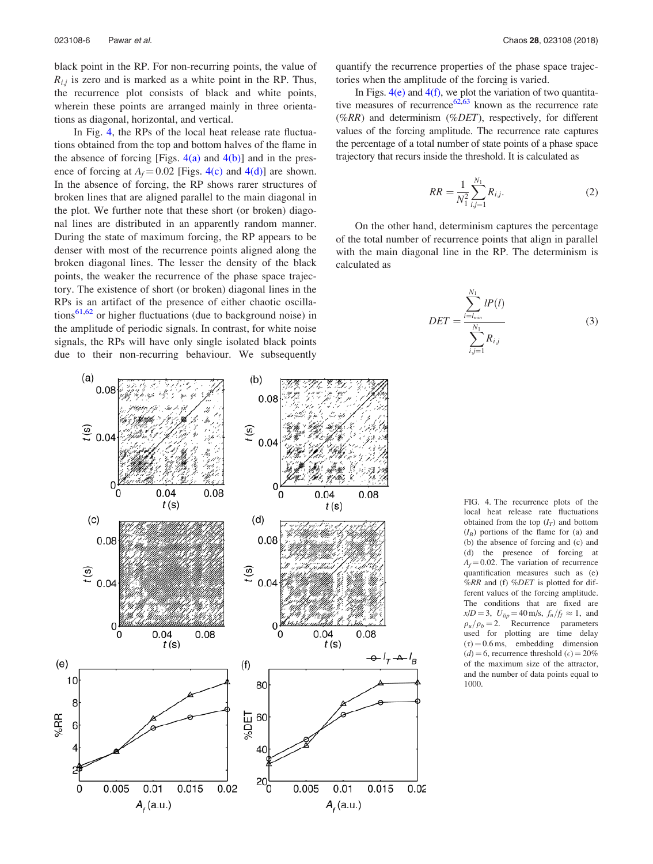black point in the RP. For non-recurring points, the value of  $R_{i,j}$  is zero and is marked as a white point in the RP. Thus, the recurrence plot consists of black and white points, wherein these points are arranged mainly in three orientations as diagonal, horizontal, and vertical.

In Fig. 4, the RPs of the local heat release rate fluctuations obtained from the top and bottom halves of the flame in the absence of forcing [Figs.  $4(a)$  and  $4(b)$ ] and in the presence of forcing at  $A_f = 0.02$  [Figs. 4(c) and 4(d)] are shown. In the absence of forcing, the RP shows rarer structures of broken lines that are aligned parallel to the main diagonal in the plot. We further note that these short (or broken) diagonal lines are distributed in an apparently random manner. During the state of maximum forcing, the RP appears to be denser with most of the recurrence points aligned along the broken diagonal lines. The lesser the density of the black points, the weaker the recurrence of the phase space trajectory. The existence of short (or broken) diagonal lines in the RPs is an artifact of the presence of either chaotic oscillations<sup>61,62</sup> or higher fluctuations (due to background noise) in the amplitude of periodic signals. In contrast, for white noise signals, the RPs will have only single isolated black points due to their non-recurring behaviour. We subsequently quantify the recurrence properties of the phase space trajectories when the amplitude of the forcing is varied.

In Figs.  $4(e)$  and  $4(f)$ , we plot the variation of two quantitative measures of recurrence  $62,63$  known as the recurrence rate (%*RR*) and determinism (%*DET*), respectively, for different values of the forcing amplitude. The recurrence rate captures the percentage of a total number of state points of a phase space trajectory that recurs inside the threshold. It is calculated as

$$
RR = \frac{1}{N_1^2} \sum_{i,j=1}^{N_1} R_{i,j}.
$$
 (2)

On the other hand, determinism captures the percentage of the total number of recurrence points that align in parallel with the main diagonal line in the RP. The determinism is calculated as

$$
DET = \frac{\sum_{i=l_{min}}^{N_1} lP(l)}{\sum_{i,j=1}^{N_1} R_{i,j}}
$$
(3)



FIG. 4. The recurrence plots of the local heat release rate fluctuations obtained from the top  $(I_T)$  and bottom  $(I_B)$  portions of the flame for (a) and (b) the absence of forcing and (c) and (d) the presence of forcing at  $A_f = 0.02$ . The variation of recurrence quantification measures such as (e) %*RR* and (f) %*DET* is plotted for different values of the forcing amplitude. The conditions that are fixed are  $x/D = 3$ ,  $U_{lip} = 40$  m/s,  $f_n/f_f \approx 1$ , and  $\rho_u/\rho_b=2$ . Recurrence parameters used for plotting are time delay  $(\tau) = 0.6 \,\text{ms}$ , embedding dimension  $(d) = 6$ , recurrence threshold  $(\epsilon) = 20\%$ of the maximum size of the attractor, and the number of data points equal to 1000.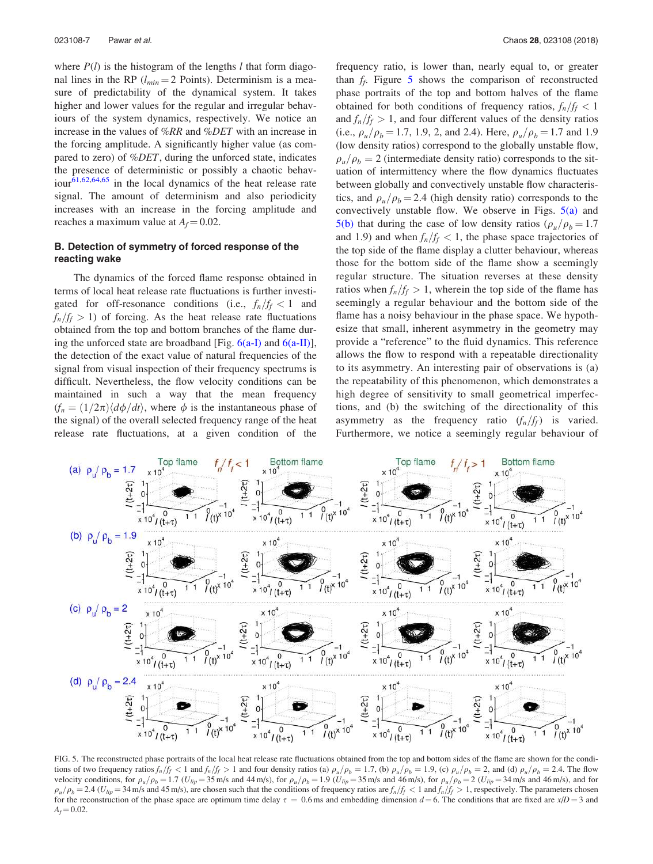where *P*(*l*) is the histogram of the lengths *l* that form diagonal lines in the RP ( $l_{min}$  = 2 Points). Determinism is a measure of predictability of the dynamical system. It takes higher and lower values for the regular and irregular behaviours of the system dynamics, respectively. We notice an increase in the values of %*RR* and %*DET* with an increase in the forcing amplitude. A significantly higher value (as compared to zero) of %*DET*, during the unforced state, indicates the presence of deterministic or possibly a chaotic behaviour $\frac{61,62,64,65}{61}$  in the local dynamics of the heat release rate signal. The amount of determinism and also periodicity increases with an increase in the forcing amplitude and reaches a maximum value at  $A_f = 0.02$ .

### B. Detection of symmetry of forced response of the reacting wake

The dynamics of the forced flame response obtained in terms of local heat release rate fluctuations is further investigated for off-resonance conditions (i.e.,  $f_n/f_f < 1$  and  $f_n/f_f > 1$ ) of forcing. As the heat release rate fluctuations obtained from the top and bottom branches of the flame during the unforced state are broadband [Fig.  $6(a-I)$ ] and  $6(a-II)$ ], the detection of the exact value of natural frequencies of the signal from visual inspection of their frequency spectrums is difficult. Nevertheless, the flow velocity conditions can be maintained in such a way that the mean frequency  $(f_n = (1/2\pi) \langle d\phi/dt \rangle$ , where  $\phi$  is the instantaneous phase of the signal) of the overall selected frequency range of the heat release rate fluctuations, at a given condition of the frequency ratio, is lower than, nearly equal to, or greater than  $f_f$ . Figure 5 shows the comparison of reconstructed phase portraits of the top and bottom halves of the flame obtained for both conditions of frequency ratios,  $f_n/f_f < 1$ and  $f_n/f_f > 1$ , and four different values of the density ratios (i.e.,  $\rho_u/\rho_b = 1.7$ , 1.9, 2, and 2.4). Here,  $\rho_u/\rho_b = 1.7$  and 1.9 (low density ratios) correspond to the globally unstable flow,  $\rho_u/\rho_b=2$  (intermediate density ratio) corresponds to the situation of intermittency where the flow dynamics fluctuates between globally and convectively unstable flow characteristics, and  $\rho_{\mu}/\rho_{b} = 2.4$  (high density ratio) corresponds to the convectively unstable flow. We observe in Figs.  $5(a)$  and 5(b) that during the case of low density ratios ( $\rho_{\mu}/\rho_{\bar{p}} = 1.7$ and 1.9) and when  $f_n/f_f < 1$ , the phase space trajectories of the top side of the flame display a clutter behaviour, whereas those for the bottom side of the flame show a seemingly regular structure. The situation reverses at these density ratios when  $f_n/f_f > 1$ , wherein the top side of the flame has seemingly a regular behaviour and the bottom side of the flame has a noisy behaviour in the phase space. We hypothesize that small, inherent asymmetry in the geometry may provide a "reference" to the fluid dynamics. This reference allows the flow to respond with a repeatable directionality to its asymmetry. An interesting pair of observations is (a) the repeatability of this phenomenon, which demonstrates a high degree of sensitivity to small geometrical imperfections, and (b) the switching of the directionality of this asymmetry as the frequency ratio  $(f_n/f_f)$  is varied. Furthermore, we notice a seemingly regular behaviour of



FIG. 5. The reconstructed phase portraits of the local heat release rate fluctuations obtained from the top and bottom sides of the flame are shown for the conditions of two frequency ratios  $f_n/f_f < 1$  and  $f_n/f_f > 1$  and four density ratios (a)  $\rho_u/\rho_b = 1.7$ , (b)  $\rho_u/\rho_b = 1.9$ , (c)  $\rho_u/\rho_b = 2$ , and (d)  $\rho_u/\rho_b = 2.4$ . The flow velocity conditions, for  $\rho_u/\rho_b = 1.7$  ( $U_{lip} = 35$  m/s and 44 m/s), for  $\rho_u/\rho_b = 1.9$  ( $U_{lip} = 35$  m/s and 46 m/s), for  $\rho_u/\rho_b = 2$  ( $U_{lip} = 34$  m/s and 46 m/s), and for  $\rho_u/\rho_b = 2.4$  (U<sub>lip</sub> = 34 m/s and 45 m/s), are chosen such that the conditions of frequency ratios are  $f_n/f_f < 1$  and  $f_n/f_f > 1$ , respectively. The parameters chosen for the reconstruction of the phase space are optimum time delay  $\tau = 0.6$  ms and embedding dimension  $d = 6$ . The conditions that are fixed are *x*/*D* = 3 and  $A_f = 0.02$ .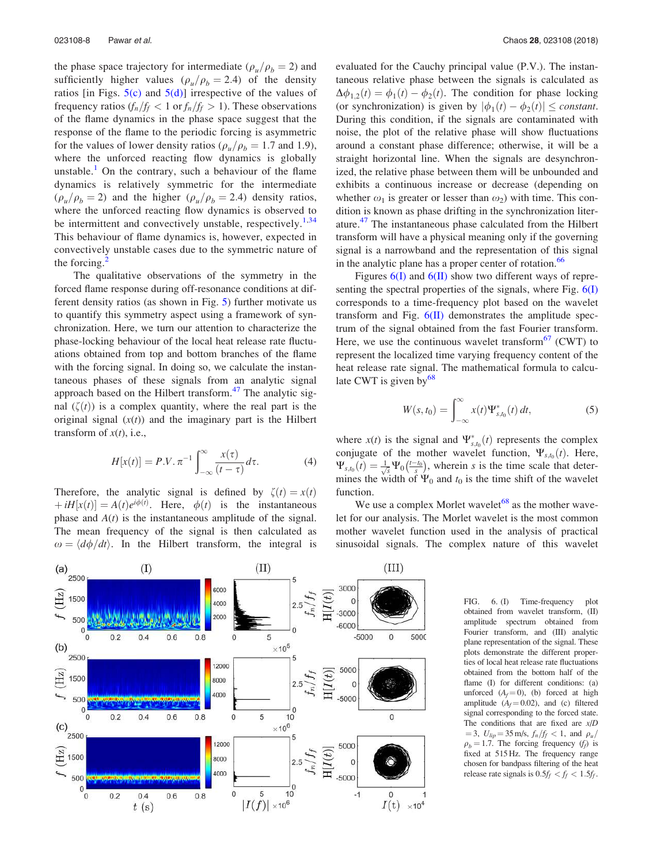the phase space trajectory for intermediate ( $\rho_u/\rho_b = 2$ ) and sufficiently higher values ( $\rho_u/\rho_b = 2.4$ ) of the density ratios [in Figs.  $5(c)$  and  $5(d)$ ] irrespective of the values of frequency ratios  $(f_n/f_f < 1 \text{ or } f_n/f_f > 1)$ . These observations of the flame dynamics in the phase space suggest that the response of the flame to the periodic forcing is asymmetric for the values of lower density ratios ( $\rho_u/\rho_b = 1.7$  and 1.9), where the unforced reacting flow dynamics is globally unstable.<sup>1</sup> On the contrary, such a behaviour of the flame dynamics is relatively symmetric for the intermediate  $(\rho_u/\rho_b = 2)$  and the higher  $(\rho_u/\rho_b = 2.4)$  density ratios, where the unforced reacting flow dynamics is observed to be intermittent and convectively unstable, respectively.<sup>1,34</sup> This behaviour of flame dynamics is, however, expected in convectively unstable cases due to the symmetric nature of the forcing.

The qualitative observations of the symmetry in the forced flame response during off-resonance conditions at different density ratios (as shown in Fig. 5) further motivate us to quantify this symmetry aspect using a framework of synchronization. Here, we turn our attention to characterize the phase-locking behaviour of the local heat release rate fluctuations obtained from top and bottom branches of the flame with the forcing signal. In doing so, we calculate the instantaneous phases of these signals from an analytic signal approach based on the Hilbert transform.<sup>47</sup> The analytic signal  $(\zeta(t))$  is a complex quantity, where the real part is the original signal  $(x(t))$  and the imaginary part is the Hilbert transform of  $x(t)$ , i.e.,

$$
H[x(t)] = P.V. \pi^{-1} \int_{-\infty}^{\infty} \frac{x(\tau)}{(t-\tau)} d\tau.
$$
 (4)

Therefore, the analytic signal is defined by  $\zeta(t) = x(t)$  $\phi(t) = A(t)e^{i\phi(t)}$ . Here,  $\phi(t)$  is the instantaneous phase and  $A(t)$  is the instantaneous amplitude of the signal. The mean frequency of the signal is then calculated as  $\omega = \langle d\phi/dt \rangle$ . In the Hilbert transform, the integral is evaluated for the Cauchy principal value (P.V.). The instantaneous relative phase between the signals is calculated as  $\Delta\phi_{1,2}(t) = \phi_1(t) - \phi_2(t)$ . The condition for phase locking (or synchronization) is given by  $|\phi_1(t) - \phi_2(t)| \leq \text{constant}$ . During this condition, if the signals are contaminated with noise, the plot of the relative phase will show fluctuations around a constant phase difference; otherwise, it will be a straight horizontal line. When the signals are desynchronized, the relative phase between them will be unbounded and exhibits a continuous increase or decrease (depending on whether  $\omega_1$  is greater or lesser than  $\omega_2$ ) with time. This condition is known as phase drifting in the synchronization literature.<sup>47</sup> The instantaneous phase calculated from the Hilbert transform will have a physical meaning only if the governing signal is a narrowband and the representation of this signal in the analytic plane has a proper center of rotation.<sup>66</sup>

Figures  $6(I)$  and  $6(II)$  show two different ways of representing the spectral properties of the signals, where Fig.  $6(I)$ corresponds to a time-frequency plot based on the wavelet transform and Fig.  $6(II)$  demonstrates the amplitude spectrum of the signal obtained from the fast Fourier transform. Here, we use the continuous wavelet transform $67$  (CWT) to represent the localized time varying frequency content of the heat release rate signal. The mathematical formula to calculate CWT is given by $^{68}$ 

$$
W(s,t_0) = \int_{-\infty}^{\infty} x(t) \Psi_{s,t_0}^*(t) dt,
$$
 (5)

where  $x(t)$  is the signal and  $\Psi_{s,t_0}^*(t)$  represents the complex conjugate of the mother wavelet function,  $\Psi_{s,t_0}(t)$ . Here,  $\Psi_{s,t_0}(t) = \frac{1}{\sqrt{s}} \Psi_0(\frac{t-t_0}{s})$ , wherein *s* is the time scale that determines the width of  $\Psi_0$  and  $t_0$  is the time shift of the wavelet function.

We use a complex Morlet wavelet<sup>68</sup> as the mother wavelet for our analysis. The Morlet wavelet is the most common mother wavelet function used in the analysis of practical sinusoidal signals. The complex nature of this wavelet



FIG. 6. (I) Time-frequency plot obtained from wavelet transform, (II) amplitude spectrum obtained from Fourier transform, and (III) analytic plane representation of the signal. These plots demonstrate the different properties of local heat release rate fluctuations obtained from the bottom half of the flame (I) for different conditions: (a) unforced  $(A_f = 0)$ , (b) forced at high amplitude  $(A_f = 0.02)$ , and (c) filtered signal corresponding to the forced state. The conditions that are fixed are *x*/*D*  $=$  3,  $U_{lip}$   $=$  35 m/s,  $f_n/f_f$  < 1, and  $\rho_u/$  $\rho_b = 1.7$ . The forcing frequency  $(f_f)$  is fixed at 515 Hz. The frequency range chosen for bandpass filtering of the heat release rate signals is  $0.5f_f < f_f < 1.5f_f$ .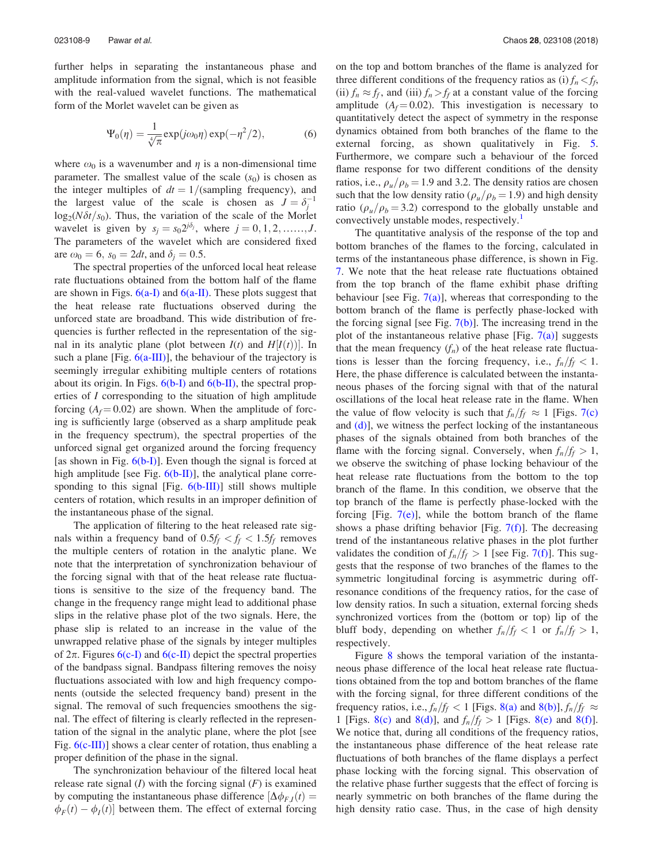further helps in separating the instantaneous phase and amplitude information from the signal, which is not feasible with the real-valued wavelet functions. The mathematical form of the Morlet wavelet can be given as

$$
\Psi_0(\eta) = \frac{1}{\sqrt[4]{\pi}} \exp(j\omega_0 \eta) \exp(-\eta^2/2),\tag{6}
$$

where  $\omega_0$  is a wavenumber and  $\eta$  is a non-dimensional time parameter. The smallest value of the scale  $(s_0)$  is chosen as the integer multiples of  $dt = 1/$ (sampling frequency), and the largest value of the scale is chosen as  $J = \delta_j^{-1}$  $\log_2(N\delta t/s_0)$ . Thus, the variation of the scale of the Morlet wavelet is given by  $s_j = s_0 2^{j \delta_j}$ , where  $j = 0, 1, 2, \dots, J$ . The parameters of the wavelet which are considered fixed are  $\omega_0 = 6$ ,  $s_0 = 2dt$ , and  $\delta_i = 0.5$ .

The spectral properties of the unforced local heat release rate fluctuations obtained from the bottom half of the flame are shown in Figs.  $6(a-I)$  and  $6(a-II)$ . These plots suggest that the heat release rate fluctuations observed during the unforced state are broadband. This wide distribution of frequencies is further reflected in the representation of the signal in its analytic plane (plot between  $I(t)$  and  $H[I(t)]$ ). In such a plane [Fig.  $6(a-III)$ ], the behaviour of the trajectory is seemingly irregular exhibiting multiple centers of rotations about its origin. In Figs.  $6(b-I)$  and  $6(b-II)$ , the spectral properties of *I* corresponding to the situation of high amplitude forcing  $(A_f = 0.02)$  are shown. When the amplitude of forcing is sufficiently large (observed as a sharp amplitude peak in the frequency spectrum), the spectral properties of the unforced signal get organized around the forcing frequency [as shown in Fig.  $6(b-1)$ ]. Even though the signal is forced at high amplitude [see Fig.  $6(b-H)$ ], the analytical plane corresponding to this signal [Fig. 6(b-III)] still shows multiple centers of rotation, which results in an improper definition of the instantaneous phase of the signal.

The application of filtering to the heat released rate signals within a frequency band of  $0.5f_f < f_f < 1.5f_f$  removes the multiple centers of rotation in the analytic plane. We note that the interpretation of synchronization behaviour of the forcing signal with that of the heat release rate fluctuations is sensitive to the size of the frequency band. The change in the frequency range might lead to additional phase slips in the relative phase plot of the two signals. Here, the phase slip is related to an increase in the value of the unwrapped relative phase of the signals by integer multiples of  $2\pi$ . Figures 6(c-I) and 6(c-II) depict the spectral properties of the bandpass signal. Bandpass filtering removes the noisy fluctuations associated with low and high frequency components (outside the selected frequency band) present in the signal. The removal of such frequencies smoothens the signal. The effect of filtering is clearly reflected in the representation of the signal in the analytic plane, where the plot [see Fig.  $6(c-III)$ ] shows a clear center of rotation, thus enabling a proper definition of the phase in the signal.

The synchronization behaviour of the filtered local heat release rate signal  $(I)$  with the forcing signal  $(F)$  is examined by computing the instantaneous phase difference  $[\Delta \phi_{F,I}(t)]$  $\phi_F(t) - \phi_I(t)$  between them. The effect of external forcing

on the top and bottom branches of the flame is analyzed for three different conditions of the frequency ratios as (i)  $f_n < f_f$ , (ii)  $f_n \approx f_f$ , and (iii)  $f_n > f_f$  at a constant value of the forcing amplitude  $(A_f = 0.02)$ . This investigation is necessary to quantitatively detect the aspect of symmetry in the response dynamics obtained from both branches of the flame to the external forcing, as shown qualitatively in Fig. 5. Furthermore, we compare such a behaviour of the forced flame response for two different conditions of the density ratios, i.e.,  $\rho_u/\rho_b = 1.9$  and 3.2. The density ratios are chosen such that the low density ratio ( $\rho_u/\rho_b = 1.9$ ) and high density ratio ( $\rho$ <sub>*u*</sub>/ $\rho$ <sub>*b*</sub> = 3.2) correspond to the globally unstable and convectively unstable modes, respectively.<sup>1</sup>

The quantitative analysis of the response of the top and bottom branches of the flames to the forcing, calculated in terms of the instantaneous phase difference, is shown in Fig. 7. We note that the heat release rate fluctuations obtained from the top branch of the flame exhibit phase drifting behaviour [see Fig.  $7(a)$ ], whereas that corresponding to the bottom branch of the flame is perfectly phase-locked with the forcing signal [see Fig.  $7(b)$ ]. The increasing trend in the plot of the instantaneous relative phase [Fig.  $7(a)$ ] suggests that the mean frequency  $(f_n)$  of the heat release rate fluctuations is lesser than the forcing frequency, i.e.,  $f_n/f_f < 1$ . Here, the phase difference is calculated between the instantaneous phases of the forcing signal with that of the natural oscillations of the local heat release rate in the flame. When the value of flow velocity is such that  $f_n/f_f \approx 1$  [Figs. 7(c) and  $(d)$ ], we witness the perfect locking of the instantaneous phases of the signals obtained from both branches of the flame with the forcing signal. Conversely, when  $f_n/f_f > 1$ , we observe the switching of phase locking behaviour of the heat release rate fluctuations from the bottom to the top branch of the flame. In this condition, we observe that the top branch of the flame is perfectly phase-locked with the forcing [Fig.  $7(e)$ ], while the bottom branch of the flame shows a phase drifting behavior [Fig.  $7(f)$ ]. The decreasing trend of the instantaneous relative phases in the plot further validates the condition of  $f_n/f_f > 1$  [see Fig. 7(f)]. This suggests that the response of two branches of the flames to the symmetric longitudinal forcing is asymmetric during offresonance conditions of the frequency ratios, for the case of low density ratios. In such a situation, external forcing sheds synchronized vortices from the (bottom or top) lip of the bluff body, depending on whether  $f_n/f_f < 1$  or  $f_n/f_f > 1$ , respectively.

Figure 8 shows the temporal variation of the instantaneous phase difference of the local heat release rate fluctuations obtained from the top and bottom branches of the flame with the forcing signal, for three different conditions of the frequency ratios, i.e.,  $f_n/f_f < 1$  [Figs. 8(a) and 8(b)],  $f_n/f_f \approx$ 1 [Figs. 8(c) and 8(d)], and  $f_n/f_f > 1$  [Figs. 8(e) and 8(f)]. We notice that, during all conditions of the frequency ratios, the instantaneous phase difference of the heat release rate fluctuations of both branches of the flame displays a perfect phase locking with the forcing signal. This observation of the relative phase further suggests that the effect of forcing is nearly symmetric on both branches of the flame during the high density ratio case. Thus, in the case of high density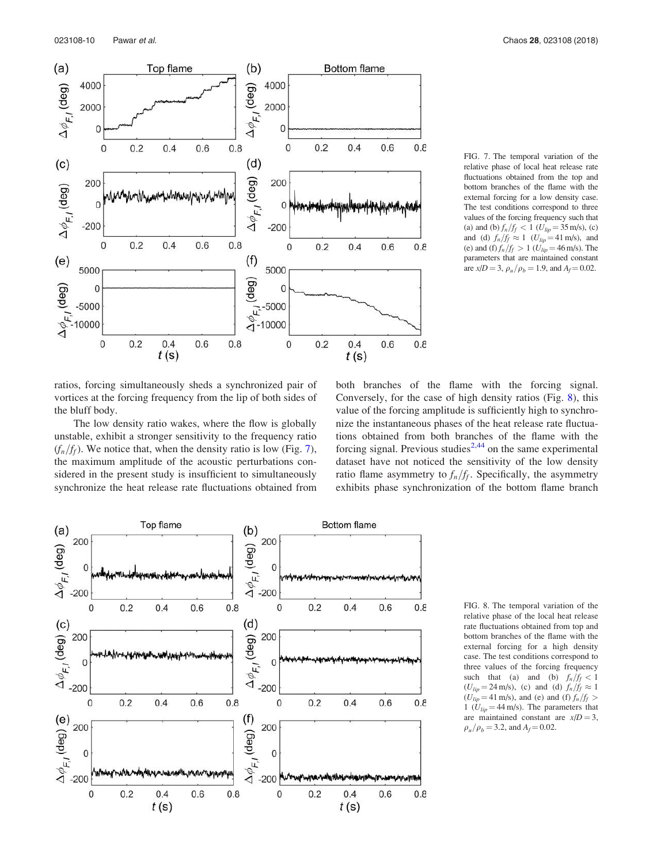

FIG. 7. The temporal variation of the relative phase of local heat release rate fluctuations obtained from the top and bottom branches of the flame with the external forcing for a low density case. The test conditions correspond to three values of the forcing frequency such that (a) and (b)  $f_n/f_f < 1$  ( $U_{lip} = 35$  m/s), (c) and (d)  $f_n/f_f \approx 1$  ( $U_{lip} = 41$  m/s), and (e) and (f)  $f_n/f_f > 1$  ( $U_{lip} = 46$  m/s). The parameters that are maintained constant are  $x/D = 3$ ,  $\rho_u / \rho_b = 1.9$ , and  $A_f = 0.02$ .

ratios, forcing simultaneously sheds a synchronized pair of vortices at the forcing frequency from the lip of both sides of the bluff body.

The low density ratio wakes, where the flow is globally unstable, exhibit a stronger sensitivity to the frequency ratio  $(f_n/f_f)$ . We notice that, when the density ratio is low (Fig. 7), the maximum amplitude of the acoustic perturbations considered in the present study is insufficient to simultaneously synchronize the heat release rate fluctuations obtained from

both branches of the flame with the forcing signal. Conversely, for the case of high density ratios (Fig. 8), this value of the forcing amplitude is sufficiently high to synchronize the instantaneous phases of the heat release rate fluctuations obtained from both branches of the flame with the forcing signal. Previous studies<sup>2,44</sup> on the same experimental dataset have not noticed the sensitivity of the low density ratio flame asymmetry to  $f_n/f_f$ . Specifically, the asymmetry exhibits phase synchronization of the bottom flame branch



FIG. 8. The temporal variation of the relative phase of the local heat release rate fluctuations obtained from top and bottom branches of the flame with the external forcing for a high density case. The test conditions correspond to three values of the forcing frequency such that (a) and (b)  $f_n/f_f < 1$  $(U_{lip} = 24 \text{ m/s})$ , (c) and (d)  $f_n/f_f \approx 1$  $(U_{lip} = 41 \text{ m/s})$ , and (e) and (f)  $f_n/f_f >$ 1 ( $U_{lip} = 44$  m/s). The parameters that are maintained constant are  $x/D = 3$ ,  $\rho_u/\rho_b = 3.2$ , and  $A_f = 0.02$ .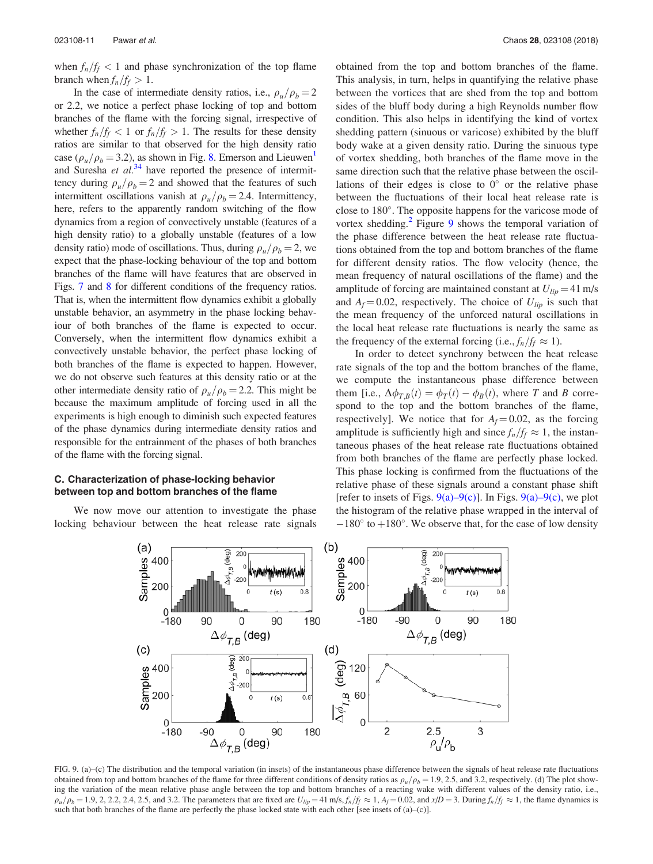when  $f_n/f_f < 1$  and phase synchronization of the top flame branch when  $f_n/f_f > 1$ .

In the case of intermediate density ratios, i.e.,  $\rho_u/\rho_b = 2$ or 2.2, we notice a perfect phase locking of top and bottom branches of the flame with the forcing signal, irrespective of whether  $f_n/f_f < 1$  or  $f_n/f_f > 1$ . The results for these density ratios are similar to that observed for the high density ratio case ( $\rho_{\mu}/\rho_{\rm b} = 3.2$ ), as shown in Fig. 8. Emerson and Lieuwen<sup>1</sup> and Suresha *et al.*<sup>34</sup> have reported the presence of intermittency during  $\rho_{\mu}/\rho_{\text{b}} = 2$  and showed that the features of such intermittent oscillations vanish at  $\rho_u/\rho_b = 2.4$ . Intermittency, here, refers to the apparently random switching of the flow dynamics from a region of convectively unstable (features of a high density ratio) to a globally unstable (features of a low density ratio) mode of oscillations. Thus, during  $\rho_u/\rho_b = 2$ , we expect that the phase-locking behaviour of the top and bottom branches of the flame will have features that are observed in Figs. 7 and 8 for different conditions of the frequency ratios. That is, when the intermittent flow dynamics exhibit a globally unstable behavior, an asymmetry in the phase locking behaviour of both branches of the flame is expected to occur. Conversely, when the intermittent flow dynamics exhibit a convectively unstable behavior, the perfect phase locking of both branches of the flame is expected to happen. However, we do not observe such features at this density ratio or at the other intermediate density ratio of  $\rho_u/\rho_b = 2.2$ . This might be because the maximum amplitude of forcing used in all the experiments is high enough to diminish such expected features of the phase dynamics during intermediate density ratios and responsible for the entrainment of the phases of both branches of the flame with the forcing signal.

### C. Characterization of phase-locking behavior between top and bottom branches of the flame

We now move our attention to investigate the phase locking behaviour between the heat release rate signals obtained from the top and bottom branches of the flame. This analysis, in turn, helps in quantifying the relative phase between the vortices that are shed from the top and bottom sides of the bluff body during a high Reynolds number flow condition. This also helps in identifying the kind of vortex shedding pattern (sinuous or varicose) exhibited by the bluff body wake at a given density ratio. During the sinuous type of vortex shedding, both branches of the flame move in the same direction such that the relative phase between the oscillations of their edges is close to  $0^{\circ}$  or the relative phase between the fluctuations of their local heat release rate is close to 180°. The opposite happens for the varicose mode of vortex shedding.<sup>2</sup> Figure 9 shows the temporal variation of the phase difference between the heat release rate fluctuations obtained from the top and bottom branches of the flame for different density ratios. The flow velocity (hence, the mean frequency of natural oscillations of the flame) and the amplitude of forcing are maintained constant at  $U_{lip} = 41$  m/s and  $A_f = 0.02$ , respectively. The choice of  $U_{lip}$  is such that the mean frequency of the unforced natural oscillations in the local heat release rate fluctuations is nearly the same as the frequency of the external forcing (i.e.,  $f_n/f_f \approx 1$ ).

In order to detect synchrony between the heat release rate signals of the top and the bottom branches of the flame, we compute the instantaneous phase difference between them [i.e.,  $\Delta \phi_{T,B}(t) = \phi_T(t) - \phi_B(t)$ , where *T* and *B* correspond to the top and the bottom branches of the flame, respectively]. We notice that for  $A_f = 0.02$ , as the forcing amplitude is sufficiently high and since  $f_n/f_f \approx 1$ , the instantaneous phases of the heat release rate fluctuations obtained from both branches of the flame are perfectly phase locked. This phase locking is confirmed from the fluctuations of the relative phase of these signals around a constant phase shift [refer to insets of Figs.  $9(a) - 9(c)$ ]. In Figs.  $9(a) - 9(c)$ , we plot the histogram of the relative phase wrapped in the interval of  $-180^\circ$  to  $+180^\circ$ . We observe that, for the case of low density



FIG. 9. (a)–(c) The distribution and the temporal variation (in insets) of the instantaneous phase difference between the signals of heat release rate fluctuations obtained from top and bottom branches of the flame for three different conditions of density ratios as  $\rho_u/\rho_b = 1.9, 2.5$ , and 3.2, respectively. (d) The plot showing the variation of the mean relative phase angle between the top and bottom branches of a reacting wake with different values of the density ratio, i.e.,  $\rho_u/\rho_b = 1.9$ , 2, 2.2, 2.4, 2.5, and 3.2. The parameters that are fixed are  $U_{lip} = 41$  m/s,  $f_n/f_f \approx 1$ ,  $A_f = 0.02$ , and  $x/D = 3$ . During  $f_n/f_f \approx 1$ , the flame dynamics is such that both branches of the flame are perfectly the phase locked state with each other [see insets of (a)–(c)].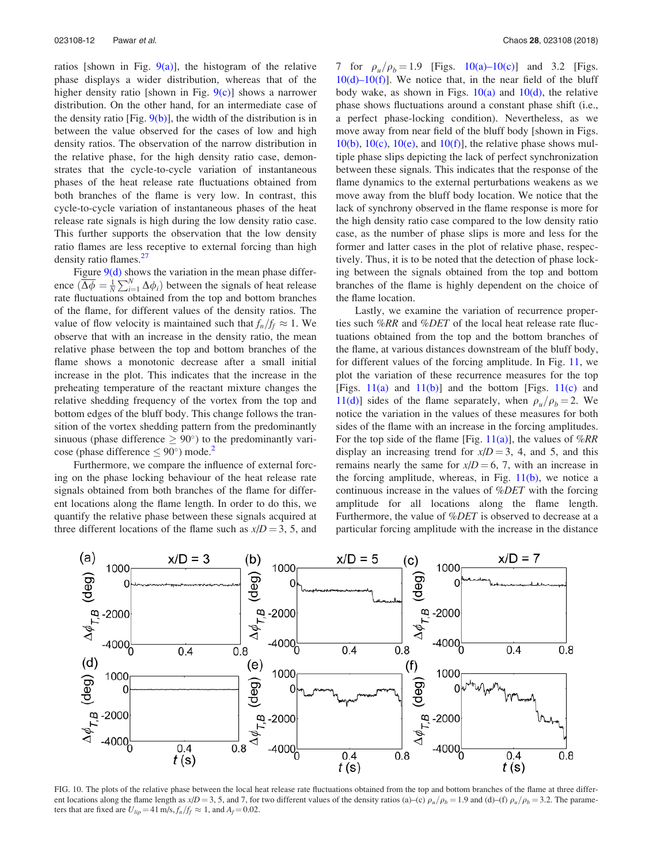ratios [shown in Fig.  $9(a)$ ], the histogram of the relative phase displays a wider distribution, whereas that of the higher density ratio [shown in Fig.  $9(c)$ ] shows a narrower distribution. On the other hand, for an intermediate case of the density ratio [Fig.  $9(b)$ ], the width of the distribution is in between the value observed for the cases of low and high density ratios. The observation of the narrow distribution in the relative phase, for the high density ratio case, demonstrates that the cycle-to-cycle variation of instantaneous phases of the heat release rate fluctuations obtained from both branches of the flame is very low. In contrast, this cycle-to-cycle variation of instantaneous phases of the heat release rate signals is high during the low density ratio case. This further supports the observation that the low density ratio flames are less receptive to external forcing than high density ratio flames.<sup>27</sup>

Figure  $9(d)$  shows the variation in the mean phase difference  $\left(\overline{\Delta\phi} = \frac{1}{N} \sum_{i=1}^{N} \Delta\phi_i\right)$  between the signals of heat release rate fluctuations obtained from the top and bottom branches of the flame, for different values of the density ratios. The value of flow velocity is maintained such that  $f_n/f_f \approx 1$ . We observe that with an increase in the density ratio, the mean relative phase between the top and bottom branches of the flame shows a monotonic decrease after a small initial increase in the plot. This indicates that the increase in the preheating temperature of the reactant mixture changes the relative shedding frequency of the vortex from the top and bottom edges of the bluff body. This change follows the transition of the vortex shedding pattern from the predominantly sinuous (phase difference  $\geq 90^{\circ}$ ) to the predominantly varicose (phase difference  $\leq 90^{\circ}$ ) mode.<sup>2</sup>

Furthermore, we compare the influence of external forcing on the phase locking behaviour of the heat release rate signals obtained from both branches of the flame for different locations along the flame length. In order to do this, we quantify the relative phase between these signals acquired at three different locations of the flame such as  $x/D = 3$ , 5, and 7 for  $\rho_u/\rho_b = 1.9$  [Figs. 10(a)–10(c)] and 3.2 [Figs.  $10(d)-10(f)$ . We notice that, in the near field of the bluff body wake, as shown in Figs.  $10(a)$  and  $10(d)$ , the relative phase shows fluctuations around a constant phase shift (i.e., a perfect phase-locking condition). Nevertheless, as we move away from near field of the bluff body [shown in Figs.  $10(b)$ ,  $10(c)$ ,  $10(e)$ , and  $10(f)$ ], the relative phase shows multiple phase slips depicting the lack of perfect synchronization between these signals. This indicates that the response of the flame dynamics to the external perturbations weakens as we move away from the bluff body location. We notice that the lack of synchrony observed in the flame response is more for the high density ratio case compared to the low density ratio case, as the number of phase slips is more and less for the former and latter cases in the plot of relative phase, respectively. Thus, it is to be noted that the detection of phase locking between the signals obtained from the top and bottom branches of the flame is highly dependent on the choice of the flame location.

Lastly, we examine the variation of recurrence properties such %*RR* and %*DET* of the local heat release rate fluctuations obtained from the top and the bottom branches of the flame, at various distances downstream of the bluff body, for different values of the forcing amplitude. In Fig. 11, we plot the variation of these recurrence measures for the top [Figs.  $11(a)$  and  $11(b)$ ] and the bottom [Figs.  $11(c)$  and 11(d)] sides of the flame separately, when  $\rho_{\mu}/\rho_{\text{b}} = 2$ . We notice the variation in the values of these measures for both sides of the flame with an increase in the forcing amplitudes. For the top side of the flame [Fig. 11(a)], the values of %*RR* display an increasing trend for  $x/D = 3$ , 4, and 5, and this remains nearly the same for  $x/D = 6, 7$ , with an increase in the forcing amplitude, whereas, in Fig.  $11(b)$ , we notice a continuous increase in the values of %*DET* with the forcing amplitude for all locations along the flame length. Furthermore, the value of %*DET* is observed to decrease at a particular forcing amplitude with the increase in the distance



FIG. 10. The plots of the relative phase between the local heat release rate fluctuations obtained from the top and bottom branches of the flame at three different locations along the flame length as  $x/D = 3$ , 5, and 7, for two different values of the density ratios (a)–(c)  $\rho_u/\rho_b = 1.9$  and (d)–(f)  $\rho_u/\rho_b = 3.2$ . The parameters that are fixed are  $U_{lip} = 41 \text{ m/s}, f_n/f_f \approx 1$ , and  $A_f = 0.02$ .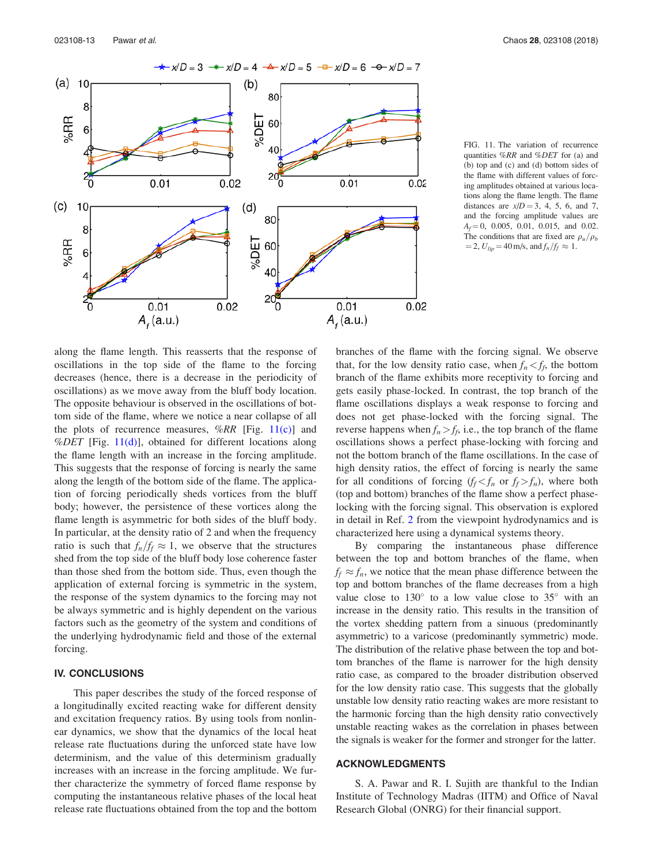

FIG. 11. The variation of recurrence quantities %*RR* and %*DET* for (a) and (b) top and (c) and (d) bottom sides of the flame with different values of forcing amplitudes obtained at various locations along the flame length. The flame distances are  $x/D = 3, 4, 5, 6,$  and 7, and the forcing amplitude values are  $A_f = 0$ , 0.005, 0.01, 0.015, and 0.02. The conditions that are fixed are  $\rho_u/\rho_b$  $= 2, U_{lip} = 40 \text{ m/s, and } f_n/f_f \approx 1.$ 

along the flame length. This reasserts that the response of oscillations in the top side of the flame to the forcing decreases (hence, there is a decrease in the periodicity of oscillations) as we move away from the bluff body location. The opposite behaviour is observed in the oscillations of bottom side of the flame, where we notice a near collapse of all the plots of recurrence measures, %*RR* [Fig. 11(c)] and %*DET* [Fig. 11(d)], obtained for different locations along the flame length with an increase in the forcing amplitude. This suggests that the response of forcing is nearly the same along the length of the bottom side of the flame. The application of forcing periodically sheds vortices from the bluff body; however, the persistence of these vortices along the flame length is asymmetric for both sides of the bluff body. In particular, at the density ratio of 2 and when the frequency ratio is such that  $f_n/f_f \approx 1$ , we observe that the structures shed from the top side of the bluff body lose coherence faster than those shed from the bottom side. Thus, even though the application of external forcing is symmetric in the system, the response of the system dynamics to the forcing may not be always symmetric and is highly dependent on the various factors such as the geometry of the system and conditions of the underlying hydrodynamic field and those of the external forcing.

#### IV. CONCLUSIONS

This paper describes the study of the forced response of a longitudinally excited reacting wake for different density and excitation frequency ratios. By using tools from nonlinear dynamics, we show that the dynamics of the local heat release rate fluctuations during the unforced state have low determinism, and the value of this determinism gradually increases with an increase in the forcing amplitude. We further characterize the symmetry of forced flame response by computing the instantaneous relative phases of the local heat release rate fluctuations obtained from the top and the bottom branches of the flame with the forcing signal. We observe that, for the low density ratio case, when  $f_n < f_f$ , the bottom branch of the flame exhibits more receptivity to forcing and gets easily phase-locked. In contrast, the top branch of the flame oscillations displays a weak response to forcing and does not get phase-locked with the forcing signal. The reverse happens when  $f_n > f_f$ , i.e., the top branch of the flame oscillations shows a perfect phase-locking with forcing and not the bottom branch of the flame oscillations. In the case of high density ratios, the effect of forcing is nearly the same for all conditions of forcing  $(f_f \leq f_n)$  or  $f_f \geq f_n$ , where both (top and bottom) branches of the flame show a perfect phaselocking with the forcing signal. This observation is explored in detail in Ref. 2 from the viewpoint hydrodynamics and is characterized here using a dynamical systems theory.

By comparing the instantaneous phase difference between the top and bottom branches of the flame, when  $f_f \approx f_n$ , we notice that the mean phase difference between the top and bottom branches of the flame decreases from a high value close to  $130^\circ$  to a low value close to  $35^\circ$  with an increase in the density ratio. This results in the transition of the vortex shedding pattern from a sinuous (predominantly asymmetric) to a varicose (predominantly symmetric) mode. The distribution of the relative phase between the top and bottom branches of the flame is narrower for the high density ratio case, as compared to the broader distribution observed for the low density ratio case. This suggests that the globally unstable low density ratio reacting wakes are more resistant to the harmonic forcing than the high density ratio convectively unstable reacting wakes as the correlation in phases between the signals is weaker for the former and stronger for the latter.

#### ACKNOWLEDGMENTS

S. A. Pawar and R. I. Sujith are thankful to the Indian Institute of Technology Madras (IITM) and Office of Naval Research Global (ONRG) for their financial support.